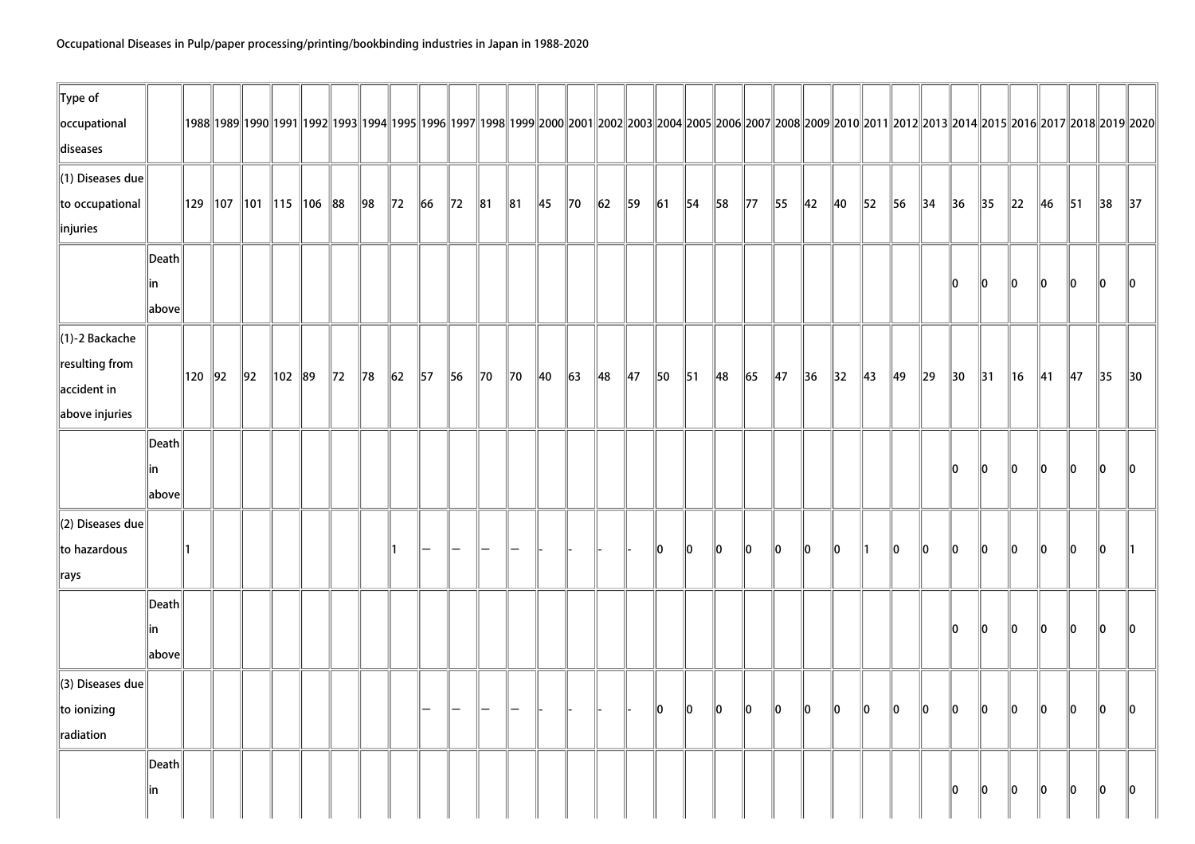| $\ $ Type of<br>occupational |                 |               |                                  |            |          |                |                |                |                |                |                |                |                |                |                |                |                |                |                |                |                |                |                |                |                |                |                |                |                |                |                |                | 1988  1989  1990  1991  1992  1993  1994  1995  1996  1997  1998  1999  2000  2001  2002  2003  2004  2005  2006  2007  2008  2009  2010  2011  2012  2011  2012  2013  2016  2017  2018  2019  2020 |
|------------------------------|-----------------|---------------|----------------------------------|------------|----------|----------------|----------------|----------------|----------------|----------------|----------------|----------------|----------------|----------------|----------------|----------------|----------------|----------------|----------------|----------------|----------------|----------------|----------------|----------------|----------------|----------------|----------------|----------------|----------------|----------------|----------------|----------------|------------------------------------------------------------------------------------------------------------------------------------------------------------------------------------------------------|
| diseases                     |                 |               |                                  |            |          |                |                |                |                |                |                |                |                |                |                |                |                |                |                |                |                |                |                |                |                |                |                |                |                |                |                |                |                                                                                                                                                                                                      |
| $\ $ (1) Diseases due        |                 |               |                                  |            |          |                |                |                |                |                |                |                |                |                |                |                |                |                |                |                |                |                |                |                |                |                |                |                |                |                |                |                |                                                                                                                                                                                                      |
| to occupational              |                 |               | 129   107   101   115   106   88 |            |          |                | $\parallel$ 98 | $\parallel$ 72 | $\ 66$         | $\parallel$ 72 | $\ 81$         | $\ 81$         | $\parallel$ 45 | $\parallel$ 70 | $\ 62\ $       | 59             | $\vert$ 61     | $\parallel$ 54 | $\parallel$ 58 | $\parallel$ 77 | $\parallel$ 55 | $\parallel$ 42 | $\parallel$ 40 | $\parallel$ 52 | 56             | $\parallel$ 34 | $\parallel$ 36 | $\parallel$ 35 | $\ 22\ $       | 46             | $\parallel$ 51 | $\parallel$ 38 | $\parallel$ 37                                                                                                                                                                                       |
| $\ $ injuries                |                 |               |                                  |            |          |                |                |                |                |                |                |                |                |                |                |                |                |                |                |                |                |                |                |                |                |                |                |                |                |                |                |                |                                                                                                                                                                                                      |
|                              | Death           |               |                                  |            |          |                |                |                |                |                |                |                |                |                |                |                |                |                |                |                |                |                |                |                |                |                |                |                |                |                |                |                |                                                                                                                                                                                                      |
|                              | in              |               |                                  |            |          |                |                |                |                |                |                |                |                |                |                |                |                |                |                |                |                |                |                |                |                |                | 10             | 10             | 10             | 10             | 10             | 10             | $\mathsf{I}$ 10                                                                                                                                                                                      |
|                              | above           |               |                                  |            |          |                |                |                |                |                |                |                |                |                |                |                |                |                |                |                |                |                |                |                |                |                |                |                |                |                |                |                |                                                                                                                                                                                                      |
| $\ $ (1)-2 Backache          |                 |               |                                  |            |          |                |                |                |                |                |                |                |                |                |                |                |                |                |                |                |                |                |                |                |                |                |                |                |                |                |                |                |                                                                                                                                                                                                      |
| $\ $ resulting from          |                 | $\ 120\ 92\ $ |                                  | $\vert$ 92 | 102   89 | $\parallel$ 72 | $\parallel$ 78 | $\ 62\ $       | $\parallel$ 57 | 56             | $\parallel$ 70 | $\parallel$ 70 | $\parallel$ 40 | $\ $ 63        | $\parallel$ 48 | $\parallel$ 47 | $\parallel$ 50 | $\parallel$ 51 | ∥48            | $\ $ 65        | $\parallel$ 47 | $\parallel$ 36 | $\vert$ 32     | $\parallel$ 43 | $\parallel$ 49 | $\ 29\ $       | $\parallel$ 30 | $\parallel$ 31 | $\parallel$ 16 | $\parallel$ 41 | $\parallel$ 47 | $\parallel$ 35 | $\parallel$ 30                                                                                                                                                                                       |
| $\parallel$ accident in      |                 |               |                                  |            |          |                |                |                |                |                |                |                |                |                |                |                |                |                |                |                |                |                |                |                |                |                |                |                |                |                |                |                |                                                                                                                                                                                                      |
| $\ $ above injuries          |                 |               |                                  |            |          |                |                |                |                |                |                |                |                |                |                |                |                |                |                |                |                |                |                |                |                |                |                |                |                |                |                |                |                                                                                                                                                                                                      |
|                              | Death           |               |                                  |            |          |                |                |                |                |                |                |                |                |                |                |                |                |                |                |                |                |                |                |                |                |                |                |                |                |                |                |                |                                                                                                                                                                                                      |
|                              | in              |               |                                  |            |          |                |                |                |                |                |                |                |                |                |                |                |                |                |                |                |                |                |                |                |                |                | ll0            | 10             | 10             | 10             | 10             | 10             | 10                                                                                                                                                                                                   |
|                              | above           |               |                                  |            |          |                |                |                |                |                |                |                |                |                |                |                |                |                |                |                |                |                |                |                |                |                |                |                |                |                |                |                |                                                                                                                                                                                                      |
| $\parallel$ (2) Diseases due |                 |               |                                  |            |          |                |                |                |                |                |                |                |                |                |                |                |                |                |                |                |                |                |                |                |                |                |                |                |                |                |                |                |                                                                                                                                                                                                      |
| to hazardous                 |                 | ∥1∶           |                                  |            |          |                |                | ∥1             |                |                |                |                |                |                |                |                | lo.            | llo.           | lo.            | 10             | llo.           | 10             | 10             |                | 10             | 10             | 10             | 10             | 10             | 10             | 10             | 10             |                                                                                                                                                                                                      |
| $\Vert$ rays                 |                 |               |                                  |            |          |                |                |                |                |                |                |                |                |                |                |                |                |                |                |                |                |                |                |                |                |                |                |                |                |                |                |                |                                                                                                                                                                                                      |
|                              | $\ $ Death $\ $ |               |                                  |            |          |                |                |                |                |                |                |                |                |                |                |                |                |                |                |                |                |                |                |                |                |                |                |                |                |                |                |                |                                                                                                                                                                                                      |
|                              | in              |               |                                  |            |          |                |                |                |                |                |                |                |                |                |                |                |                |                |                |                |                |                |                |                |                |                | 10             | 10             | 10             | 10             | 10             | 10             | $\mathsf{I}$ 10                                                                                                                                                                                      |
|                              | above           |               |                                  |            |          |                |                |                |                |                |                |                |                |                |                |                |                |                |                |                |                |                |                |                |                |                |                |                |                |                |                |                |                                                                                                                                                                                                      |
| $\parallel$ (3) Diseases due |                 |               |                                  |            |          |                |                |                |                |                |                |                |                |                |                |                |                |                |                |                |                |                |                |                |                |                |                |                |                |                |                |                |                                                                                                                                                                                                      |
| to ionizing                  |                 |               |                                  |            |          |                |                |                |                |                |                |                |                |                |                |                | 10             | 10             | $\ 0\ $        | $\ 0\ $        | $\ 0\ $        | 10             | 10             | 10             | $\ 0\ $        | 10             | $\ 0\ $        | 10             | $\ 0\ $        | 10             | $\ 0\ $        | 10             | 10                                                                                                                                                                                                   |
| radiation                    |                 |               |                                  |            |          |                |                |                |                |                |                |                |                |                |                |                |                |                |                |                |                |                |                |                |                |                |                |                |                |                |                |                |                                                                                                                                                                                                      |
|                              | Death           |               |                                  |            |          |                |                |                |                |                |                |                |                |                |                |                |                |                |                |                |                |                |                |                |                |                |                |                |                |                |                |                |                                                                                                                                                                                                      |
|                              | in              |               |                                  |            |          |                |                |                |                |                |                |                |                |                |                |                |                |                |                |                |                |                |                |                |                |                | 10             | 0              | $\ 0\ $        | 0              | $\ 0\ $        | 10             | $\ 0\ $                                                                                                                                                                                              |
|                              |                 |               |                                  |            |          |                |                |                |                |                |                |                |                |                |                |                |                |                |                |                |                |                |                |                |                |                |                |                |                |                |                |                |                                                                                                                                                                                                      |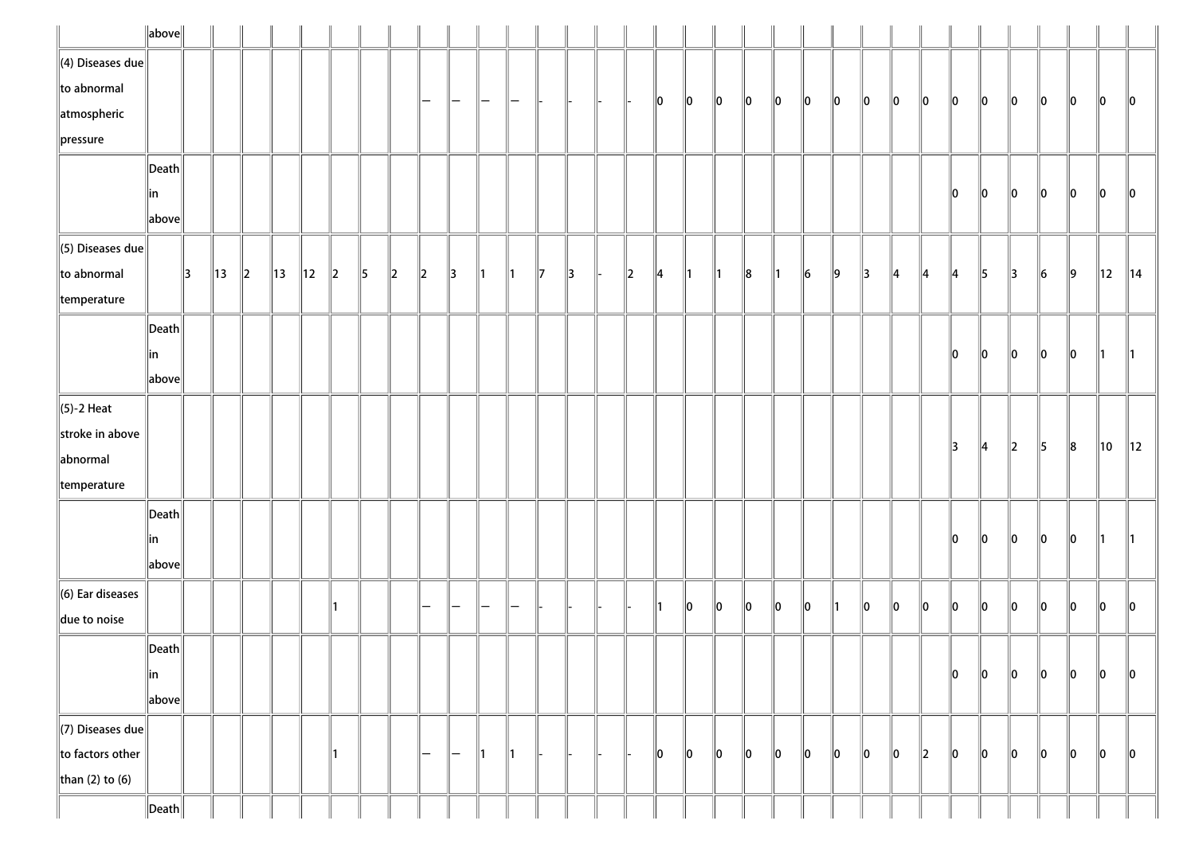|                          | $\ $ above $\ $       |               |                |                          |                |                |               |               |         |             |                   |               |    |              |               |         |               |               |               |    |    |    |    |    |               |               |         |               |         |    |    |     |                |
|--------------------------|-----------------------|---------------|----------------|--------------------------|----------------|----------------|---------------|---------------|---------|-------------|-------------------|---------------|----|--------------|---------------|---------|---------------|---------------|---------------|----|----|----|----|----|---------------|---------------|---------|---------------|---------|----|----|-----|----------------|
| $\ $ (4) Diseases due    |                       |               |                |                          |                |                |               |               |         |             |                   |               |    |              |               |         |               |               |               |    |    |    |    |    |               |               |         |               |         |    |    |     |                |
| $\ $ to abnormal         |                       |               |                |                          |                |                |               |               |         | -           | -                 |               |    |              |               |         | 10            | 10            | $\ 0\ $       | 10 | 10 | 10 | 10 | 10 | 10            | 10            | 10      | 10            | 10      | 10 | 10 | 10  | $\ 0\ $        |
| $\parallel$ atmospheric  |                       |               |                |                          |                |                |               |               |         |             |                   |               |    |              |               |         |               |               |               |    |    |    |    |    |               |               |         |               |         |    |    |     |                |
| $\ $ pressure            |                       |               |                |                          |                |                |               |               |         |             |                   |               |    |              |               |         |               |               |               |    |    |    |    |    |               |               |         |               |         |    |    |     |                |
|                          | $\vert$ Death $\vert$ |               |                |                          |                |                |               |               |         |             |                   |               |    |              |               |         |               |               |               |    |    |    |    |    |               |               |         |               |         |    |    |     |                |
|                          | in                    |               |                |                          |                |                |               |               |         |             |                   |               |    |              |               |         |               |               |               |    |    |    |    |    |               |               | 10      | 10            | 10      | 10 | 10 | 10  | 10             |
|                          | above                 |               |                |                          |                |                |               |               |         |             |                   |               |    |              |               |         |               |               |               |    |    |    |    |    |               |               |         |               |         |    |    |     |                |
| $\ $ (5) Diseases due    |                       |               |                |                          |                |                |               |               |         |             |                   |               |    |              |               |         |               |               |               |    |    |    |    |    |               |               |         |               |         |    |    |     |                |
| $\ $ to abnormal         |                       | $\parallel$ 3 | $\parallel$ 13 | $\parallel$ <sub>2</sub> | $\parallel$ 13 | $\parallel$ 12 | $\parallel$ 2 | $\parallel$ 5 | $\ 2\ $ | $\parallel$ | $\parallel$ 3     | $\parallel$ 1 | ⊪1 | $\mathbb{I}$ | $\parallel$ 3 | $\ 2\ $ | $\parallel$ 4 | $\parallel$ 1 | $\parallel$ 1 | 8  | ∥1 | 6  | 9  | 13 | $\parallel 4$ | 14            | 14      | 15            | 3       | 6  | ∥9 | 12  | $\parallel$ 14 |
| $\parallel$ temperature  |                       |               |                |                          |                |                |               |               |         |             |                   |               |    |              |               |         |               |               |               |    |    |    |    |    |               |               |         |               |         |    |    |     |                |
|                          | $\vert$ Death $\vert$ |               |                |                          |                |                |               |               |         |             |                   |               |    |              |               |         |               |               |               |    |    |    |    |    |               |               |         |               |         |    |    |     |                |
|                          | in                    |               |                |                          |                |                |               |               |         |             |                   |               |    |              |               |         |               |               |               |    |    |    |    |    |               |               | 10      | 10            | 10      | 10 | 10 | 11. | $\parallel$ 1  |
|                          | above                 |               |                |                          |                |                |               |               |         |             |                   |               |    |              |               |         |               |               |               |    |    |    |    |    |               |               |         |               |         |    |    |     |                |
| $\ $ (5)-2 Heat          |                       |               |                |                          |                |                |               |               |         |             |                   |               |    |              |               |         |               |               |               |    |    |    |    |    |               |               |         |               |         |    |    |     |                |
| stroke in above          |                       |               |                |                          |                |                |               |               |         |             |                   |               |    |              |               |         |               |               |               |    |    |    |    |    |               |               |         | $\parallel$ 4 |         | 15 |    |     |                |
| abnormal                 |                       |               |                |                          |                |                |               |               |         |             |                   |               |    |              |               |         |               |               |               |    |    |    |    |    |               |               | 13      |               | $\ 2\ $ |    | 8  | 10  | 12             |
| $\parallel$ temperature  |                       |               |                |                          |                |                |               |               |         |             |                   |               |    |              |               |         |               |               |               |    |    |    |    |    |               |               |         |               |         |    |    |     |                |
|                          | $\vert$ Death $\vert$ |               |                |                          |                |                |               |               |         |             |                   |               |    |              |               |         |               |               |               |    |    |    |    |    |               |               |         |               |         |    |    |     |                |
|                          | in                    |               |                |                          |                |                |               |               |         |             |                   |               |    |              |               |         |               |               |               |    |    |    |    |    |               |               | 10      | 10            | $\ 0\ $ | 10 | 10 | 11  | $\parallel$ 1  |
|                          | above                 |               |                |                          |                |                |               |               |         |             |                   |               |    |              |               |         |               |               |               |    |    |    |    |    |               |               |         |               |         |    |    |     |                |
| $\ $ (6) Ear diseases    |                       |               |                |                          |                |                |               |               |         |             |                   |               |    |              |               |         |               |               |               |    |    |    |    |    |               |               |         |               |         |    |    |     |                |
| $\parallel$ due to noise |                       |               |                |                          |                |                |               |               |         |             |                   |               |    |              |               |         |               | 10            | $\ 0\ $       | 10 | 10 | 10 | ∥1 | 10 | llo           | 10            | llo     | ∥o            | $\ 0\ $ | 10 | 10 | 10  | $\ 0\ $        |
|                          | $\ $ Death $\ $       |               |                |                          |                |                |               |               |         |             |                   |               |    |              |               |         |               |               |               |    |    |    |    |    |               |               |         |               |         |    |    |     |                |
|                          | ∥in                   |               |                |                          |                |                |               |               |         |             |                   |               |    |              |               |         |               |               |               |    |    |    |    |    |               |               | 10      | $\ 0\ $       | $\ 0\ $ | 10 | 10 | 10  | 10             |
|                          | above                 |               |                |                          |                |                |               |               |         |             |                   |               |    |              |               |         |               |               |               |    |    |    |    |    |               |               |         |               |         |    |    |     |                |
| $\Vert$ (7) Diseases due |                       |               |                |                          |                |                |               |               |         |             |                   |               |    |              |               |         |               |               |               |    |    |    |    |    |               |               |         |               |         |    |    |     |                |
| $\ $ to factors other    |                       |               |                |                          |                |                | ∥1            |               |         | -           | $\qquad \qquad -$ | ∥1            | 11 |              |               |         | 10            | 10            | $\ 0\ $       | 10 | 10 | 10 | 10 | 10 | 10            | $\parallel$ 2 | $\ 0\ $ | 10            | 10      | 10 | 10 | 10  | 10             |
| than (2) to (6)          |                       |               |                |                          |                |                |               |               |         |             |                   |               |    |              |               |         |               |               |               |    |    |    |    |    |               |               |         |               |         |    |    |     |                |
|                          | $\ $ Death $\ $       |               |                |                          |                |                |               |               |         |             |                   |               |    |              |               |         |               |               |               |    |    |    |    |    |               |               |         |               |         |    |    |     |                |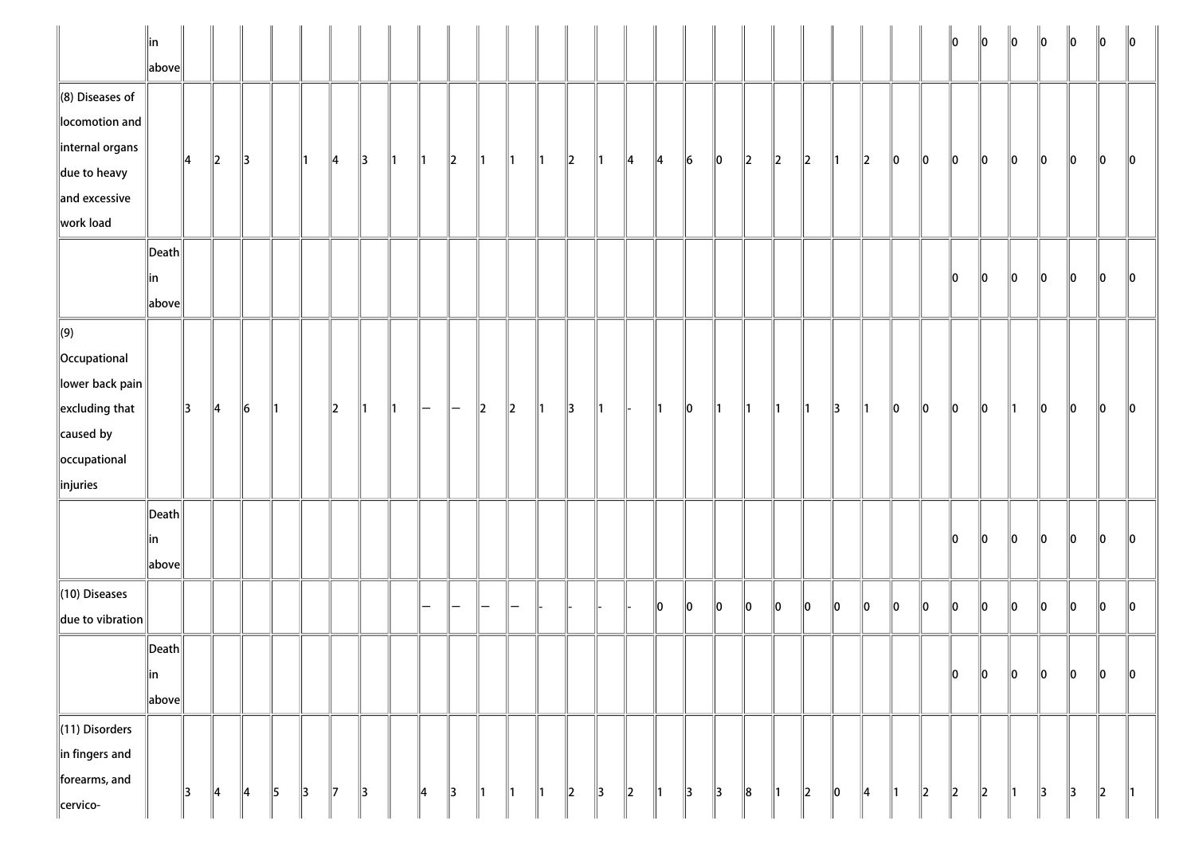|                                                                                                                                            | $\parallel$ in<br>$\ $ above $\ $         |               |               |               |               |               |               |               |    |               |               |    |                          |    |         |               |         |    |         |               |         |         |         |         |         |               |         | lo.     | $\ 0\ $ | $\ 0\ $       | $\ 0\ $       | $\ 0\ $       | $\ 0\ $ | $\parallel$ 0 |
|--------------------------------------------------------------------------------------------------------------------------------------------|-------------------------------------------|---------------|---------------|---------------|---------------|---------------|---------------|---------------|----|---------------|---------------|----|--------------------------|----|---------|---------------|---------|----|---------|---------------|---------|---------|---------|---------|---------|---------------|---------|---------|---------|---------------|---------------|---------------|---------|---------------|
| $\ $ (8) Diseases of<br>locomotion and<br>internal organs<br>$\parallel$ due to heavy<br>$\parallel$ and excessive                         |                                           | 14            | 2             | 13            |               | 11            | ∥4            | 13            | 11 | 11            | $\parallel$ 2 | 11 | 11                       | 11 | $\ 2\ $ | ∥1            | 14      | 4  | $\ 6$   | $\ 0\ $       | $\ 2\ $ | $\ 2\ $ | $\ 2\ $ | ∥1      | $\ 2\ $ | $\ 0\ $       | $\ 0\ $ | $\ 0\ $ | $\ 0\ $ | $\ 0\ $       | $\ 0\ $       | $\ 0\ $       | $\ 0\ $ | 10            |
| work load                                                                                                                                  | $\ $ Death $\ $<br>∥in<br>$\ $ above $\ $ |               |               |               |               |               |               |               |    |               |               |    |                          |    |         |               |         |    |         |               |         |         |         |         |         |               |         | $\ 0\ $ | $\ 0\ $ | $\ 0\ $       | $\ 0\ $       | $\ 0\ $       | $\ 0\ $ | 10            |
| $\Vert(9)\Vert$<br>  Occupational<br>$\ $ lower back pain $\ $<br>$\parallel$ excluding that<br>caused by<br>occupational<br>$\ $ injuries |                                           | $\parallel$ 3 | $\parallel$ 4 | $\ 6$         | 11            |               | $\parallel$ 2 | 11            | ∥1 | $\overline{}$ |               | 2  | $\parallel$ <sub>2</sub> | 11 | 13      | ∥1            |         | 11 | 10      | ∥1            | 11      | ∥1      | 11      | 13      | ∥1      | 10            | $\ 0\ $ | $\ 0\ $ | $\ 0\ $ | ∥1            | $\ 0\ $       | $\ 0\ $       | $\ 0\ $ | 10            |
|                                                                                                                                            | $\ $ Death $\ $<br>∥in<br>$\ $ above $\ $ |               |               |               |               |               |               |               |    |               |               |    |                          |    |         |               |         |    |         |               |         |         |         |         |         |               |         | 10      | llo     | lo.           | lo            | llo.          | llo.    | 10            |
| $(10)$ Diseases<br>due to vibration                                                                                                        |                                           |               |               |               |               |               |               |               |    |               |               |    |                          |    |         |               |         | 10 | $\ 0\ $ | 0             | $\ _0$  | $\ _0$  | $\ _0$  | $\ _0$  | $\ _0$  | $\ _0$        | $\ _0$  | $\ _0$  | $\ _0$  | $\ _0$        | $\ _0$        | $\ _0$        | $\ _0$  | $\ 0\ $       |
|                                                                                                                                            | $\ $ Death $\ $<br> in<br>$\ $ above $\ $ |               |               |               |               |               |               |               |    |               |               |    |                          |    |         |               |         |    |         |               |         |         |         |         |         |               |         | $\ 0\ $ | $\ 0\ $ | $\ 0\ $       | $\ _0$        | $\ 0\ $       | $\ _0$  | $\ 0\ $       |
| (11) Disorders<br>$\ $ in fingers and<br>forearms, and<br>cervico-                                                                         |                                           | 3             | $\parallel$ 4 | $\parallel$ 4 | $\parallel$ 5 | $\parallel$ 3 | $\parallel$ 7 | $\parallel$ 3 |    | 4             | $\parallel$ 3 | 1  | $\parallel$ 1            | 1  | $\ 2\ $ | $\parallel$ 3 | $\ 2\ $ | 1  | 3       | $\parallel$ 3 | $\ 8$   | 1       | $\ 2\ $ | $\ 0\ $ | 4       | $\parallel$ 1 | $\ 2\ $ | $\ 2\ $ | $\ 2\ $ | $\parallel$ 1 | $\parallel$ 3 | $\parallel$ 3 | $\ 2\ $ | $\parallel$ 1 |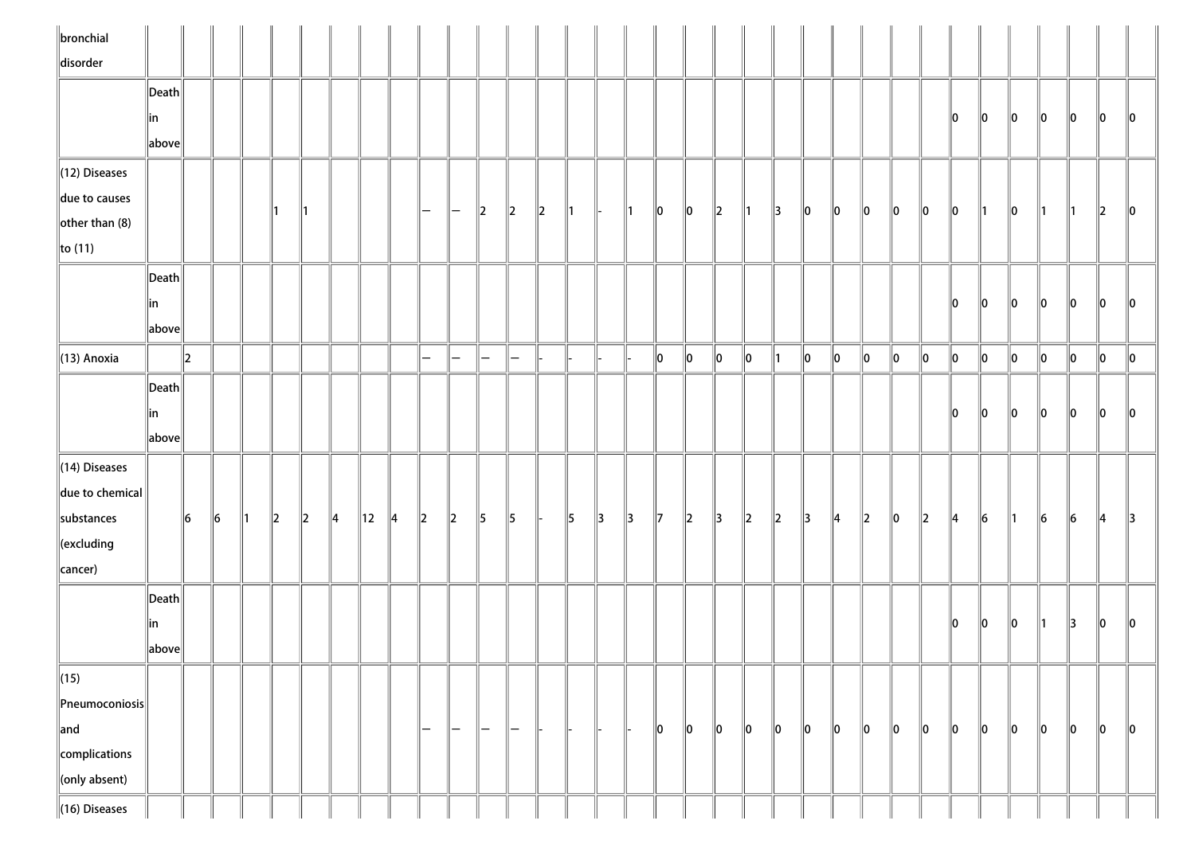| $\ $ bronchial              |                       |         |         |    |         |         |               |                |    |                      |               |           |               |           |               |               |               |               |         |               |               |               |               |             |         |               |           |         |         |         |         |         |               |         |
|-----------------------------|-----------------------|---------|---------|----|---------|---------|---------------|----------------|----|----------------------|---------------|-----------|---------------|-----------|---------------|---------------|---------------|---------------|---------|---------------|---------------|---------------|---------------|-------------|---------|---------------|-----------|---------|---------|---------|---------|---------|---------------|---------|
| disorder                    |                       |         |         |    |         |         |               |                |    |                      |               |           |               |           |               |               |               |               |         |               |               |               |               |             |         |               |           |         |         |         |         |         |               |         |
|                             | $\ $ Death $\ $       |         |         |    |         |         |               |                |    |                      |               |           |               |           |               |               |               |               |         |               |               |               |               |             |         |               |           |         |         |         |         |         |               |         |
|                             | ∥in                   |         |         |    |         |         |               |                |    |                      |               |           |               |           |               |               |               |               |         |               |               |               |               |             |         |               |           | 10      | 10      | 10      | 10      | 10      | 10            | 10      |
|                             | above                 |         |         |    |         |         |               |                |    |                      |               |           |               |           |               |               |               |               |         |               |               |               |               |             |         |               |           |         |         |         |         |         |               |         |
| $\ $ (12) Diseases          |                       |         |         |    |         |         |               |                |    |                      |               |           |               |           |               |               |               |               |         |               |               |               |               |             |         |               |           |         |         |         |         |         |               |         |
| due to causes               |                       |         |         |    |         |         |               |                |    | $\qquad \qquad -$    | $\overline{}$ | $\ 2\ $   | $\ 2\ $       | $\vert$ 2 | $\parallel$ 1 | H-            | $\parallel$ 1 | $\ 0\ $       | $\ 0\ $ | $\ 2\ $       | $\parallel$ 1 | $\parallel$ 3 | $\parallel$ 0 | 10          | 10      | 10            | 10        | 10      | 11      | 10      | 11      | 11      | $\ 2\ $       | 10      |
| $\left\Vert$ other than (8) |                       |         |         |    |         |         |               |                |    |                      |               |           |               |           |               |               |               |               |         |               |               |               |               |             |         |               |           |         |         |         |         |         |               |         |
| $\ $ to (11)                |                       |         |         |    |         |         |               |                |    |                      |               |           |               |           |               |               |               |               |         |               |               |               |               |             |         |               |           |         |         |         |         |         |               |         |
|                             | $\ $ Death $\ $       |         |         |    |         |         |               |                |    |                      |               |           |               |           |               |               |               |               |         |               |               |               |               |             |         |               |           |         |         |         |         |         |               |         |
|                             | ∥in                   |         |         |    |         |         |               |                |    |                      |               |           |               |           |               |               |               |               |         |               |               |               |               |             |         |               |           | 10      | 10      | 10      | 10      | 10      | 10            | 10      |
|                             | above                 |         |         |    |         |         |               |                |    |                      |               |           |               |           |               |               |               |               |         |               |               |               |               |             |         |               |           |         |         |         |         |         |               |         |
| $\parallel$ (13) Anoxia     |                       | $\ 2\ $ |         |    |         |         |               |                |    | $\qquad \qquad =$    | $-$           | $-$       | -             |           |               |               |               | 0             | $\ 0\ $ | 0             | $\ 0\ $       | $\parallel$ 1 | $\ 0\ $       | $ 0\rangle$ | $\ 0\ $ | 0             | 10        | $\ 0\ $ | $\ 0\ $ | $\ 0\ $ | $\ 0\ $ | $\ 0\ $ | $\ 0\ $       | $\ 0\ $ |
|                             | $\vert$ Death $\vert$ |         |         |    |         |         |               |                |    |                      |               |           |               |           |               |               |               |               |         |               |               |               |               |             |         |               |           |         |         |         |         |         |               |         |
|                             | ∥in                   |         |         |    |         |         |               |                |    |                      |               |           |               |           |               |               |               |               |         |               |               |               |               |             |         |               |           | llo.    | 10      | 10      | 10      | 10      | 10            | llo     |
|                             | above                 |         |         |    |         |         |               |                |    |                      |               |           |               |           |               |               |               |               |         |               |               |               |               |             |         |               |           |         |         |         |         |         |               |         |
| $\parallel$ (14) Diseases   |                       |         |         |    |         |         |               |                |    |                      |               |           |               |           |               |               |               |               |         |               |               |               |               |             |         |               |           |         |         |         |         |         |               |         |
| $\ $ due to chemical $\ $   |                       |         |         |    |         |         |               |                |    |                      |               |           |               |           |               |               |               |               |         |               |               |               |               |             |         |               |           |         |         |         |         |         |               |         |
| substances                  |                       | 6       | $\ 6\ $ | 11 | $\ 2\ $ | $\ 2\ $ | $\parallel$ 4 | $\parallel$ 12 | 14 | $\vert$ <sub>2</sub> | $\ 2\ $       | $\vert$ 5 | $\parallel$ 5 |           | $\parallel$ 5 | $\parallel$ 3 | $\parallel$ 3 | $\parallel$ 7 | $\ 2\ $ | $\parallel$ 3 | $\ 2\ $       | $\ 2\ $       | $\parallel$ 3 | 14          | $\ 2\ $ | $\parallel$ 0 | $\vert$ 2 | 4       | $\ 6$   | 11      | $\ 6$   | $\ 6$   | $\parallel$ 4 | 13      |
| $\ $ (excluding             |                       |         |         |    |         |         |               |                |    |                      |               |           |               |           |               |               |               |               |         |               |               |               |               |             |         |               |           |         |         |         |         |         |               |         |
| cancer)                     |                       |         |         |    |         |         |               |                |    |                      |               |           |               |           |               |               |               |               |         |               |               |               |               |             |         |               |           |         |         |         |         |         |               |         |
|                             | Death                 |         |         |    |         |         |               |                |    |                      |               |           |               |           |               |               |               |               |         |               |               |               |               |             |         |               |           |         |         |         |         |         |               |         |
|                             | in                    |         |         |    |         |         |               |                |    |                      |               |           |               |           |               |               |               |               |         |               |               |               |               |             |         |               |           | 10      | 10      | 10      | 11      | 13      | 10            | 10      |
|                             | above                 |         |         |    |         |         |               |                |    |                      |               |           |               |           |               |               |               |               |         |               |               |               |               |             |         |               |           |         |         |         |         |         |               |         |
| $\ $ (15)                   |                       |         |         |    |         |         |               |                |    |                      |               |           |               |           |               |               |               |               |         |               |               |               |               |             |         |               |           |         |         |         |         |         |               |         |
| $\ $ Pneumoconiosis $\ $    |                       |         |         |    |         |         |               |                |    |                      |               |           |               |           |               |               |               |               |         |               |               |               |               |             |         |               |           |         |         |         |         |         |               |         |
| $\parallel$ and             |                       |         |         |    |         |         |               |                |    | $\qquad \qquad -$    | $-$           | $-$       | $\vert$ $-$   |           |               |               |               | $\ 0\ $       | $\ 0\ $ | $\ 0\ $       | $\ 0\ $       | $\ 0\ $       | 10            | 10          | $\ 0\ $ | 10            | 10        | 10      | 10      | 10      | 10      | 0       | $\ 0\ $       | $\ 0\ $ |
| complications               |                       |         |         |    |         |         |               |                |    |                      |               |           |               |           |               |               |               |               |         |               |               |               |               |             |         |               |           |         |         |         |         |         |               |         |
| conly absent)               |                       |         |         |    |         |         |               |                |    |                      |               |           |               |           |               |               |               |               |         |               |               |               |               |             |         |               |           |         |         |         |         |         |               |         |
| $\ $ (16) Diseases          |                       |         |         |    |         |         |               |                |    |                      |               |           |               |           |               |               |               |               |         |               |               |               |               |             |         |               |           |         |         |         |         |         |               |         |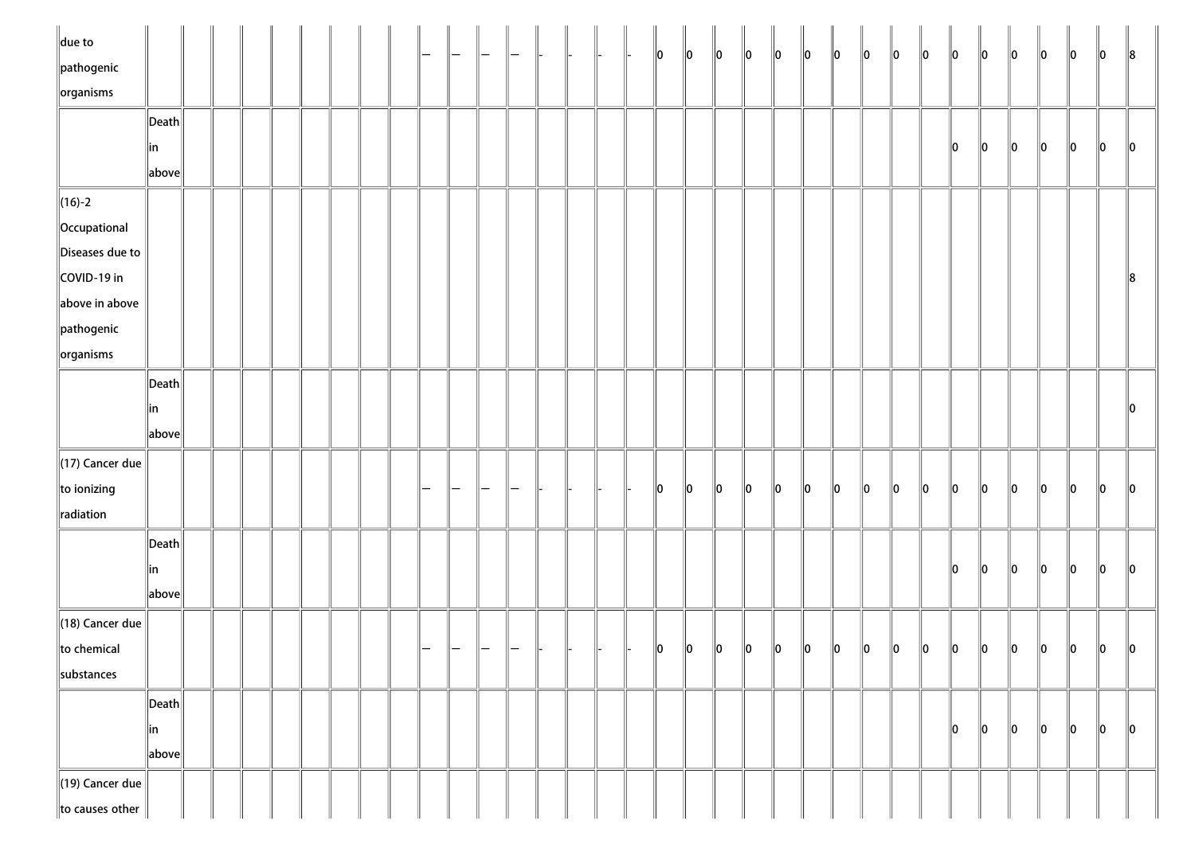| $\ $ due to                     |                                        |  |  |  |  |  |  |  |  | $\ 0\ $       | $\ 0\ $ | $\ 0\ $     | $\ 0\ $ | $\ 0\ $ | $\ 0\ $     | $\ 0\ $     | $\ 0\ $ | $\ 0\ $ | $\ 0\ $ | $\ 0\ $ | $\ 0\ $ | $\ 0\ $ | $\ 0\ $ | $\ 0\ $ | 10      | $\ 8$         |
|---------------------------------|----------------------------------------|--|--|--|--|--|--|--|--|---------------|---------|-------------|---------|---------|-------------|-------------|---------|---------|---------|---------|---------|---------|---------|---------|---------|---------------|
| $\ $ pathogenic                 |                                        |  |  |  |  |  |  |  |  |               |         |             |         |         |             |             |         |         |         |         |         |         |         |         |         |               |
| $\sqrt{\frac{1}{10}}$ organisms |                                        |  |  |  |  |  |  |  |  |               |         |             |         |         |             |             |         |         |         |         |         |         |         |         |         |               |
|                                 | $\left\Vert \mathsf{Death}\right\Vert$ |  |  |  |  |  |  |  |  |               |         |             |         |         |             |             |         |         |         |         |         |         |         |         |         |               |
|                                 | ∥in                                    |  |  |  |  |  |  |  |  |               |         |             |         |         |             |             |         |         |         | 10      | $\ 0\ $ | $\ 0\ $ | $\ 0\ $ | $\ 0\ $ | $\ 0\ $ | $\ 0\ $       |
|                                 | $\ $ above $\ $                        |  |  |  |  |  |  |  |  |               |         |             |         |         |             |             |         |         |         |         |         |         |         |         |         |               |
| $\ $ (16)-2                     |                                        |  |  |  |  |  |  |  |  |               |         |             |         |         |             |             |         |         |         |         |         |         |         |         |         |               |
| Occupational                    |                                        |  |  |  |  |  |  |  |  |               |         |             |         |         |             |             |         |         |         |         |         |         |         |         |         |               |
| Diseases due to                 |                                        |  |  |  |  |  |  |  |  |               |         |             |         |         |             |             |         |         |         |         |         |         |         |         |         |               |
| COVID-19 in                     |                                        |  |  |  |  |  |  |  |  |               |         |             |         |         |             |             |         |         |         |         |         |         |         |         |         | $\ 8$         |
| above in above                  |                                        |  |  |  |  |  |  |  |  |               |         |             |         |         |             |             |         |         |         |         |         |         |         |         |         |               |
| $\parallel$ pathogenic          |                                        |  |  |  |  |  |  |  |  |               |         |             |         |         |             |             |         |         |         |         |         |         |         |         |         |               |
| $\ $ organisms                  |                                        |  |  |  |  |  |  |  |  |               |         |             |         |         |             |             |         |         |         |         |         |         |         |         |         |               |
|                                 | $\ $ Death $\ $                        |  |  |  |  |  |  |  |  |               |         |             |         |         |             |             |         |         |         |         |         |         |         |         |         |               |
|                                 | in                                     |  |  |  |  |  |  |  |  |               |         |             |         |         |             |             |         |         |         |         |         |         |         |         |         | $\ 0\ $       |
|                                 | $\ $ above $\ $                        |  |  |  |  |  |  |  |  |               |         |             |         |         |             |             |         |         |         |         |         |         |         |         |         |               |
|                                 |                                        |  |  |  |  |  |  |  |  |               |         |             |         |         |             |             |         |         |         |         |         |         |         |         |         |               |
| $\parallel$ (17) Cancer due     |                                        |  |  |  |  |  |  |  |  |               |         |             |         |         |             |             |         |         |         |         |         |         |         |         |         |               |
| to ionizing                     |                                        |  |  |  |  |  |  |  |  | $\parallel$ 0 | 10      | 10          | $\ 0\ $ | $\ 0\ $ | $ 0\rangle$ | $ 0\rangle$ | $\ 0\ $ | $\ 0\ $ | $\ 0\ $ | $\ 0\ $ | $\ 0\ $ | $\ 0\ $ | $\ 0\ $ | $\ 0\ $ | $\ 0\ $ | $\ 0\ $       |
| radiation                       |                                        |  |  |  |  |  |  |  |  |               |         |             |         |         |             |             |         |         |         |         |         |         |         |         |         |               |
|                                 | $\left\Vert \mathsf{Death}\right\Vert$ |  |  |  |  |  |  |  |  |               |         |             |         |         |             |             |         |         |         |         |         |         |         |         |         |               |
|                                 | ∥in                                    |  |  |  |  |  |  |  |  |               |         |             |         |         |             |             |         |         |         | $\ 0\ $ | $\ 0\ $ | $\ 0\ $ | $\ 0\ $ | $\ 0\ $ | $\ 0\ $ | $\ 0\ $       |
|                                 | $\ $ above $\ $                        |  |  |  |  |  |  |  |  |               |         |             |         |         |             |             |         |         |         |         |         |         |         |         |         |               |
| $\parallel$ (18) Cancer due     |                                        |  |  |  |  |  |  |  |  |               |         |             |         |         |             |             |         |         |         |         |         |         |         |         |         |               |
| to chemical                     |                                        |  |  |  |  |  |  |  |  | 10            | $\ 0\ $ | $\parallel$ | $\ 0\ $ | $\ 0\ $ | $\ 0\ $     | $\ 0\ $     | $\ 0\ $ | $\ 0\ $ | $\ 0\ $ | $\ 0\ $ | $\ 0\ $ | $\ 0\ $ | $\ 0\ $ | $\ 0\ $ | $\ 0\ $ | $\parallel$ 0 |
| substances                      |                                        |  |  |  |  |  |  |  |  |               |         |             |         |         |             |             |         |         |         |         |         |         |         |         |         |               |
|                                 | $\left\Vert \mathsf{Death}\right\Vert$ |  |  |  |  |  |  |  |  |               |         |             |         |         |             |             |         |         |         |         |         |         |         |         |         |               |
|                                 | ∥in                                    |  |  |  |  |  |  |  |  |               |         |             |         |         |             |             |         |         |         | 10      | 10      | 10      | $\ 0\ $ | $\ 0\ $ | $\ 0\ $ | $\ 0\ $       |
|                                 | $\ $ above $\ $                        |  |  |  |  |  |  |  |  |               |         |             |         |         |             |             |         |         |         |         |         |         |         |         |         |               |
| $\parallel$ (19) Cancer due     |                                        |  |  |  |  |  |  |  |  |               |         |             |         |         |             |             |         |         |         |         |         |         |         |         |         |               |
| to causes other                 |                                        |  |  |  |  |  |  |  |  |               |         |             |         |         |             |             |         |         |         |         |         |         |         |         |         |               |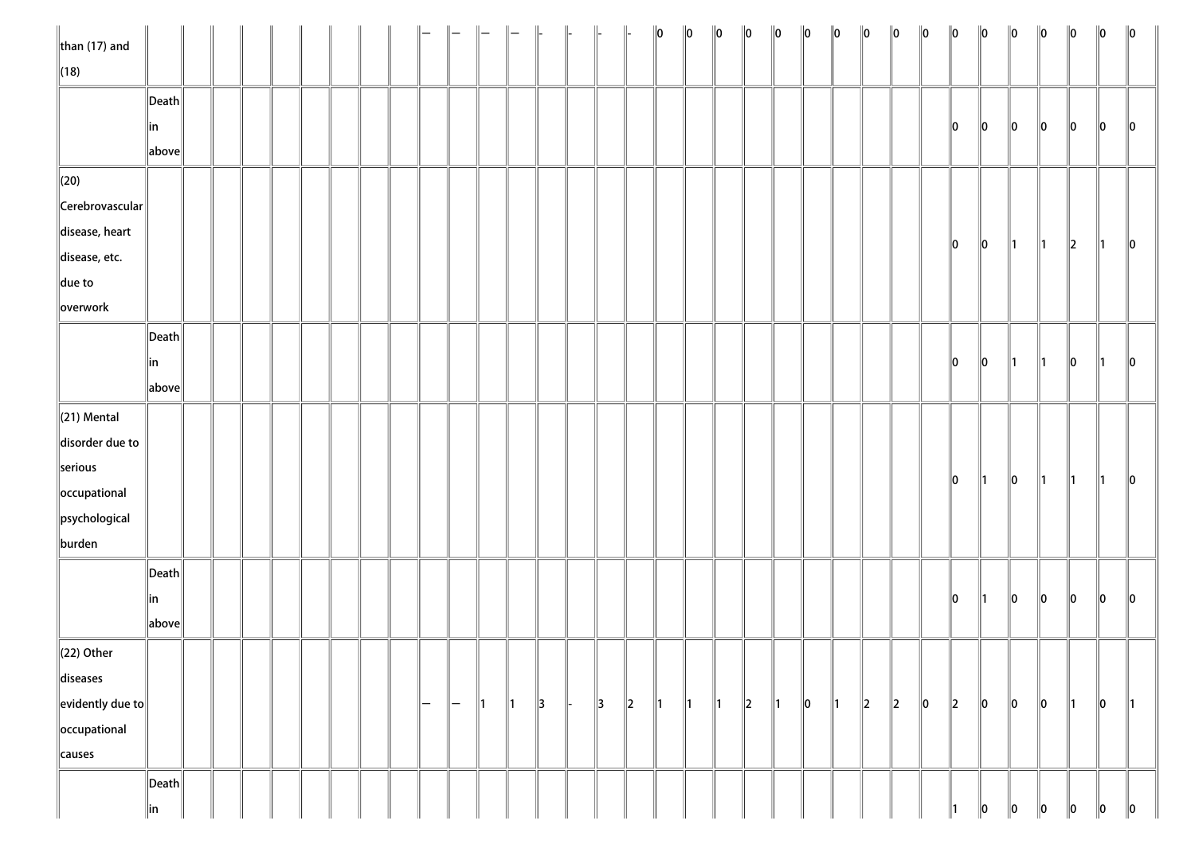| $\ $ than (17) and         |                       |  |  |  |  |     |               |               |               | $\Big\ $      | $\parallel$ |               |         | $\ 0\ $       | $\ 0\ $       | $\ 0\ $       | $\ 0\ $ | $\ 0\ $       | $\ 0\ $ | $\ 0\ $       | $\ 0\ $ | $\ 0\ $   | $\ 0\ $ | $\ 0\ $       | $\ 0\ $       | $\ 0\ $       | $\ 0\ $       | $\ 0\ $       | $\ 0\ $       | $\ 0\ $       |
|----------------------------|-----------------------|--|--|--|--|-----|---------------|---------------|---------------|---------------|-------------|---------------|---------|---------------|---------------|---------------|---------|---------------|---------|---------------|---------|-----------|---------|---------------|---------------|---------------|---------------|---------------|---------------|---------------|
| $\ $ (18)                  |                       |  |  |  |  |     |               |               |               |               |             |               |         |               |               |               |         |               |         |               |         |           |         |               |               |               |               |               |               |               |
|                            | $\ $ Death $\ $       |  |  |  |  |     |               |               |               |               |             |               |         |               |               |               |         |               |         |               |         |           |         |               |               |               |               |               |               |               |
|                            | ∥in                   |  |  |  |  |     |               |               |               |               |             |               |         |               |               |               |         |               |         |               |         |           |         | 10            | $\ 0\ $       | $\ 0\ $       | 10            | 10            | 10            | $\parallel$ 0 |
|                            | above                 |  |  |  |  |     |               |               |               |               |             |               |         |               |               |               |         |               |         |               |         |           |         |               |               |               |               |               |               |               |
| $\ $ (20)                  |                       |  |  |  |  |     |               |               |               |               |             |               |         |               |               |               |         |               |         |               |         |           |         |               |               |               |               |               |               |               |
| $\ $ Cerebrovascular $\ $  |                       |  |  |  |  |     |               |               |               |               |             |               |         |               |               |               |         |               |         |               |         |           |         |               |               |               |               |               |               |               |
| disease, heart             |                       |  |  |  |  |     |               |               |               |               |             |               |         |               |               |               |         |               |         |               |         |           |         |               |               |               |               |               |               |               |
| disease, etc.              |                       |  |  |  |  |     |               |               |               |               |             |               |         |               |               |               |         |               |         |               |         |           |         | $\ 0\ $       | $\ 0\ $       | $\parallel$ 1 | $\parallel$ 1 | $\ 2\ $       | 11.           | $\ 0\ $       |
| $\ $ due to                |                       |  |  |  |  |     |               |               |               |               |             |               |         |               |               |               |         |               |         |               |         |           |         |               |               |               |               |               |               |               |
| overwork                   |                       |  |  |  |  |     |               |               |               |               |             |               |         |               |               |               |         |               |         |               |         |           |         |               |               |               |               |               |               |               |
|                            | $\vert$ Death $\vert$ |  |  |  |  |     |               |               |               |               |             |               |         |               |               |               |         |               |         |               |         |           |         |               |               |               |               |               |               |               |
|                            | in                    |  |  |  |  |     |               |               |               |               |             |               |         |               |               |               |         |               |         |               |         |           |         | $\parallel$ 0 | $\ 0\ $       | ∥1            | $\parallel$ 1 | $\ 0\ $       | ∥1            | $\ 0\ $       |
|                            | above                 |  |  |  |  |     |               |               |               |               |             |               |         |               |               |               |         |               |         |               |         |           |         |               |               |               |               |               |               |               |
| $\ $ (21) Mental           |                       |  |  |  |  |     |               |               |               |               |             |               |         |               |               |               |         |               |         |               |         |           |         |               |               |               |               |               |               |               |
| disorder due to            |                       |  |  |  |  |     |               |               |               |               |             |               |         |               |               |               |         |               |         |               |         |           |         |               |               |               |               |               |               |               |
| serious                    |                       |  |  |  |  |     |               |               |               |               |             |               |         |               |               |               |         |               |         |               |         |           |         |               |               |               |               |               |               |               |
| occupational               |                       |  |  |  |  |     |               |               |               |               |             |               |         |               |               |               |         |               |         |               |         |           |         | $\ 0\ $       | $\parallel$ 1 | $\ 0\ $       | $\parallel$ 1 | $\parallel$ 1 | $\parallel$ 1 | $\ 0\ $       |
| psychological              |                       |  |  |  |  |     |               |               |               |               |             |               |         |               |               |               |         |               |         |               |         |           |         |               |               |               |               |               |               |               |
| burden                     |                       |  |  |  |  |     |               |               |               |               |             |               |         |               |               |               |         |               |         |               |         |           |         |               |               |               |               |               |               |               |
|                            | $\ $ Death $\ $       |  |  |  |  |     |               |               |               |               |             |               |         |               |               |               |         |               |         |               |         |           |         |               |               |               |               |               |               |               |
|                            | ∥in                   |  |  |  |  |     |               |               |               |               |             |               |         |               |               |               |         |               |         |               |         |           |         | $\ 0\ $       | $\parallel$ 1 | $ 0\rangle$   | $\ 0\ $       | $\ 0\ $       | $ 0\rangle$   | $\ 0\ $       |
|                            | above                 |  |  |  |  |     |               |               |               |               |             |               |         |               |               |               |         |               |         |               |         |           |         |               |               |               |               |               |               |               |
| $\ $ (22) Other            |                       |  |  |  |  |     |               |               |               |               |             |               |         |               |               |               |         |               |         |               |         |           |         |               |               |               |               |               |               |               |
| diseases                   |                       |  |  |  |  |     |               |               |               |               |             |               |         |               |               |               |         |               |         |               |         |           |         |               |               |               |               |               |               |               |
| $\ $ evidently due to $\ $ |                       |  |  |  |  | $-$ | $\overline{}$ | $\parallel$ 1 | $\parallel$ 1 | $\parallel$ 3 |             | $\parallel$ 3 | $\ 2\ $ | $\parallel$ 1 | $\parallel$ 1 | $\parallel$ 1 | $\ 2\ $ | $\parallel$ 1 | $\ 0\ $ | $\parallel$ 1 | $\ 2\ $ | $\vert$ 2 | $\ 0\ $ | $\ 2\ $       | $\ 0\ $       | $ 0\rangle$   | $\ 0\ $       | $\parallel$ 1 | $ 0\rangle$   | $\parallel$ 1 |
| occupational               |                       |  |  |  |  |     |               |               |               |               |             |               |         |               |               |               |         |               |         |               |         |           |         |               |               |               |               |               |               |               |
| causes                     |                       |  |  |  |  |     |               |               |               |               |             |               |         |               |               |               |         |               |         |               |         |           |         |               |               |               |               |               |               |               |
|                            | $\vert$ Death $\vert$ |  |  |  |  |     |               |               |               |               |             |               |         |               |               |               |         |               |         |               |         |           |         |               |               |               |               |               |               |               |
|                            | in                    |  |  |  |  |     |               |               |               |               |             |               |         |               |               |               |         |               |         |               |         |           |         |               | 10            | 10            | 10            | 10            | 10            | $\ 0\ $       |